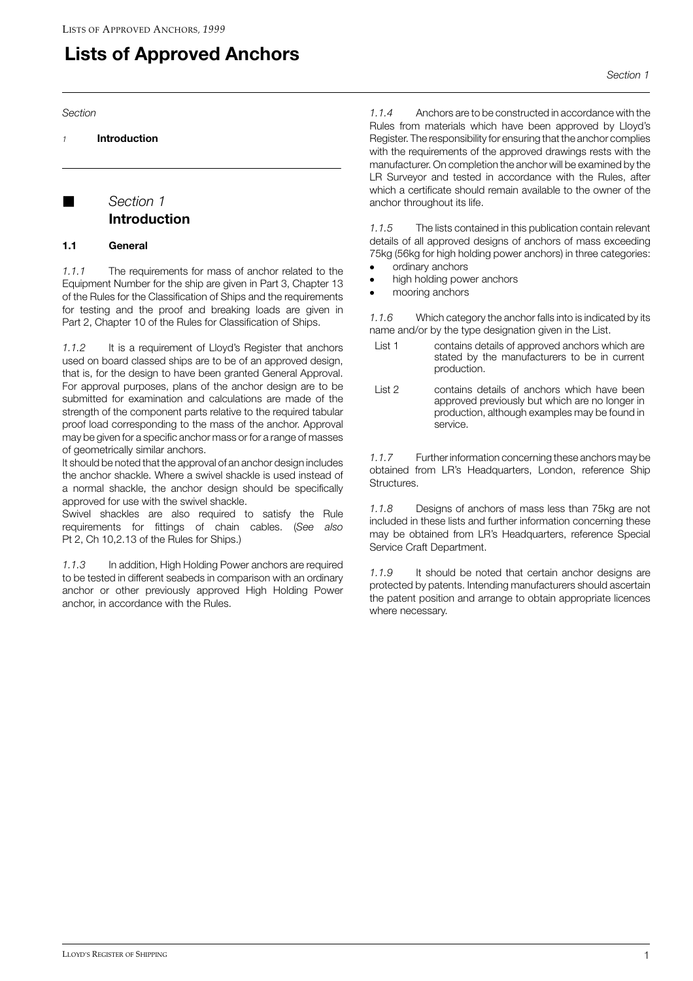## **Lists of Approved Anchors**

Section

Introduction  $\overline{1}$ 

## Section 1 **Introduction**

## $1.1$ General

The requirements for mass of anchor related to the  $1.1.1$ Equipment Number for the ship are given in Part 3, Chapter 13 of the Rules for the Classification of Ships and the requirements for testing and the proof and breaking loads are given in Part 2, Chapter 10 of the Rules for Classification of Ships.

It is a requirement of Lloyd's Register that anchors  $112$ used on board classed ships are to be of an approved design, that is, for the design to have been granted General Approval. For approval purposes, plans of the anchor design are to be submitted for examination and calculations are made of the strength of the component parts relative to the required tabular proof load corresponding to the mass of the anchor. Approval may be given for a specific anchor mass or for a range of masses of geometrically similar anchors.

It should be noted that the approval of an anchor design includes the anchor shackle. Where a swivel shackle is used instead of a normal shackle, the anchor design should be specifically approved for use with the swivel shackle.

Swivel shackles are also required to satisfy the Rule requirements for fittings of chain cables. (See also Pt 2, Ch 10,2.13 of the Rules for Ships.)

 $1.1.3$ In addition, High Holding Power anchors are required to be tested in different seabeds in comparison with an ordinary anchor or other previously approved High Holding Power anchor, in accordance with the Rules.

Section 1

Anchors are to be constructed in accordance with the  $114$ Rules from materials which have been approved by Lloyd's Register. The responsibility for ensuring that the anchor complies with the requirements of the approved drawings rests with the manufacturer. On completion the anchor will be examined by the LR Survevor and tested in accordance with the Rules, after which a certificate should remain available to the owner of the anchor throughout its life.

The lists contained in this publication contain relevant  $1.1.5$ details of all approved designs of anchors of mass exceeding 75kg (56kg for high holding power anchors) in three categories: ordinary anchors

- 
- high holding power anchors
- mooring anchors

 $1.1.6$ Which category the anchor falls into is indicated by its name and/or by the type designation given in the List.

- contains details of approved anchors which are List 1 stated by the manufacturers to be in current production.
- List 2 contains details of anchors which have been approved previously but which are no longer in production, although examples may be found in service.

 $1.1.7$ Further information concerning these anchors may be obtained from LR's Headquarters, London, reference Ship Structures.

 $118$ Designs of anchors of mass less than 75kg are not included in these lists and further information concerning these may be obtained from LR's Headquarters, reference Special Service Craft Department.

1.1.9 It should be noted that certain anchor designs are protected by patents. Intending manufacturers should ascertain the patent position and arrange to obtain appropriate licences where necessary.